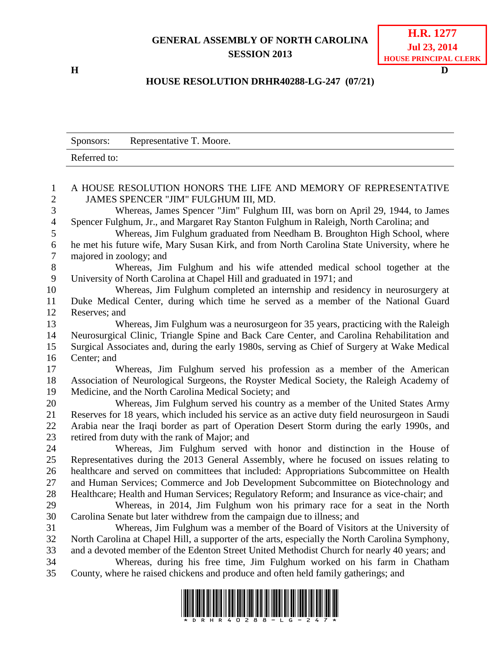## **GENERAL ASSEMBLY OF NORTH CAROLINA SESSION 2013**

**H D**

## **HOUSE RESOLUTION DRHR40288-LG-247 (07/21)**

|                  | Representative T. Moore.<br>Sponsors:                                                           |
|------------------|-------------------------------------------------------------------------------------------------|
|                  | Referred to:                                                                                    |
| $\mathbf{1}$     | A HOUSE RESOLUTION HONORS THE LIFE AND MEMORY OF REPRESENTATIVE                                 |
| $\overline{c}$   | JAMES SPENCER "JIM" FULGHUM III, MD.                                                            |
| 3                | Whereas, James Spencer "Jim" Fulghum III, was born on April 29, 1944, to James                  |
| $\overline{4}$   | Spencer Fulghum, Jr., and Margaret Ray Stanton Fulghum in Raleigh, North Carolina; and          |
| 5                | Whereas, Jim Fulghum graduated from Needham B. Broughton High School, where                     |
| $\boldsymbol{6}$ | he met his future wife, Mary Susan Kirk, and from North Carolina State University, where he     |
| $\boldsymbol{7}$ | majored in zoology; and                                                                         |
| 8                | Whereas, Jim Fulghum and his wife attended medical school together at the                       |
| 9                | University of North Carolina at Chapel Hill and graduated in 1971; and                          |
| 10               | Whereas, Jim Fulghum completed an internship and residency in neurosurgery at                   |
| 11               | Duke Medical Center, during which time he served as a member of the National Guard              |
| 12               | Reserves; and                                                                                   |
| 13               | Whereas, Jim Fulghum was a neurosurgeon for 35 years, practicing with the Raleigh               |
| 14               | Neurosurgical Clinic, Triangle Spine and Back Care Center, and Carolina Rehabilitation and      |
| 15               | Surgical Associates and, during the early 1980s, serving as Chief of Surgery at Wake Medical    |
| 16<br>17         | Center; and<br>Whereas, Jim Fulghum served his profession as a member of the American           |
| 18               | Association of Neurological Surgeons, the Royster Medical Society, the Raleigh Academy of       |
| 19               | Medicine, and the North Carolina Medical Society; and                                           |
| 20               | Whereas, Jim Fulghum served his country as a member of the United States Army                   |
| 21               | Reserves for 18 years, which included his service as an active duty field neurosurgeon in Saudi |
| 22               | Arabia near the Iraqi border as part of Operation Desert Storm during the early 1990s, and      |
| 23               | retired from duty with the rank of Major; and                                                   |
| 24               | Whereas, Jim Fulghum served with honor and distinction in the House of                          |
| 25               | Representatives during the 2013 General Assembly, where he focused on issues relating to        |
| 26               | healthcare and served on committees that included: Appropriations Subcommittee on Health        |
| 27               | and Human Services; Commerce and Job Development Subcommittee on Biotechnology and              |
| 28               | Healthcare; Health and Human Services; Regulatory Reform; and Insurance as vice-chair; and      |
| 29               | Whereas, in 2014, Jim Fulghum won his primary race for a seat in the North                      |
| 30               | Carolina Senate but later withdrew from the campaign due to illness; and                        |
| 31               | Whereas, Jim Fulghum was a member of the Board of Visitors at the University of                 |
| 32               | North Carolina at Chapel Hill, a supporter of the arts, especially the North Carolina Symphony, |
| 33               | and a devoted member of the Edenton Street United Methodist Church for nearly 40 years; and     |
| 34               | Whereas, during his free time, Jim Fulghum worked on his farm in Chatham                        |
| 35               | County, where he raised chickens and produce and often held family gatherings; and              |